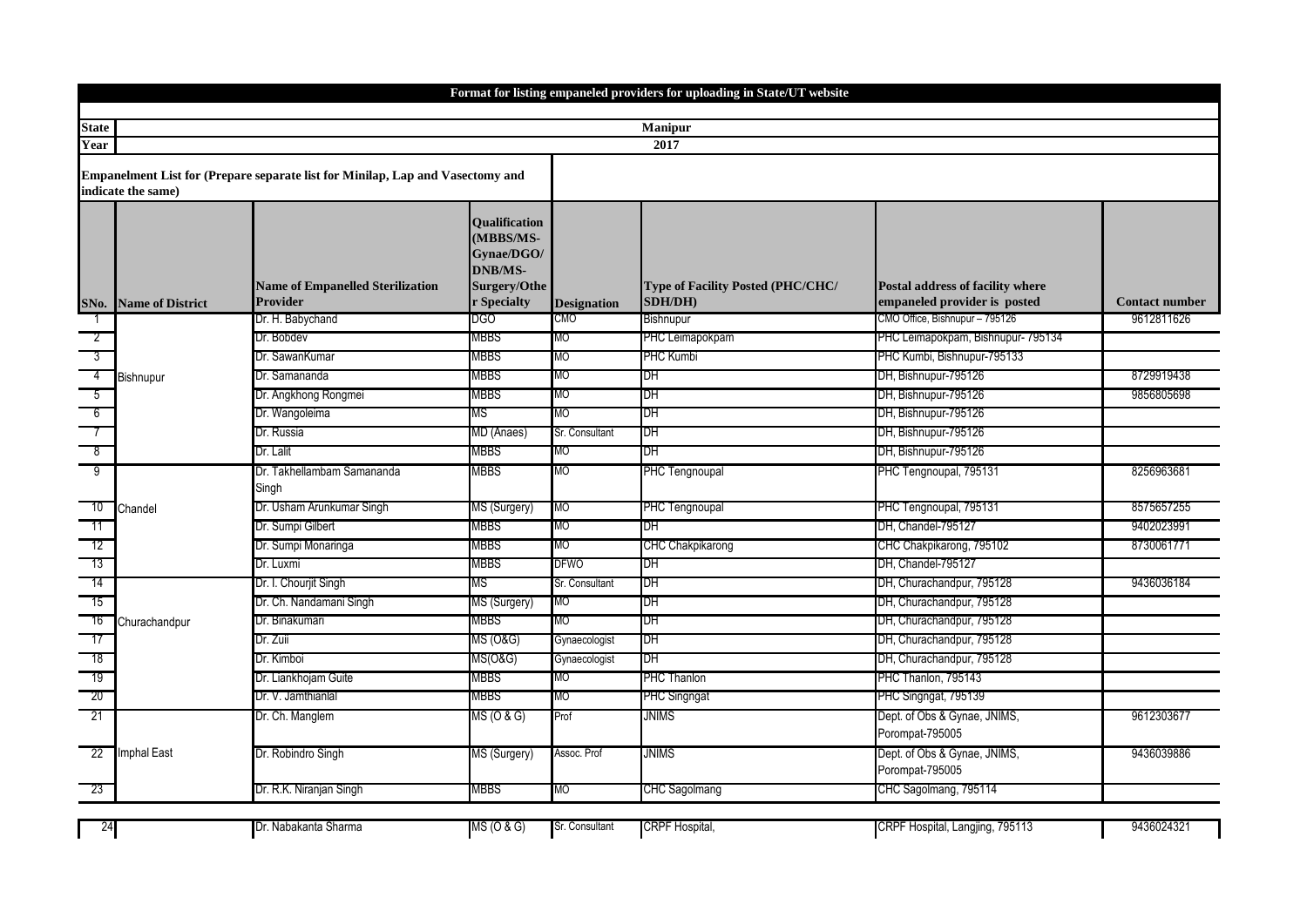|                          | Format for listing empaneled providers for uploading in State/UT website |                                                                                       |                                                                                                  |                    |                                                     |                                                                  |                       |  |  |  |
|--------------------------|--------------------------------------------------------------------------|---------------------------------------------------------------------------------------|--------------------------------------------------------------------------------------------------|--------------------|-----------------------------------------------------|------------------------------------------------------------------|-----------------------|--|--|--|
|                          |                                                                          |                                                                                       |                                                                                                  |                    |                                                     |                                                                  |                       |  |  |  |
| <b>State</b>             | <b>Manipur</b>                                                           |                                                                                       |                                                                                                  |                    |                                                     |                                                                  |                       |  |  |  |
| Year                     |                                                                          |                                                                                       |                                                                                                  |                    | 2017                                                |                                                                  |                       |  |  |  |
|                          | indicate the same)                                                       | <b>Empanelment List for (Prepare separate list for Minilap, Lap and Vasectomy and</b> |                                                                                                  |                    |                                                     |                                                                  |                       |  |  |  |
| SNo.                     | <b>Name of District</b>                                                  | <b>Name of Empanelled Sterilization</b><br><b>Provider</b>                            | <b>Oualification</b><br>(MBBS/MS-<br>Gynae/DGO/<br><b>DNB/MS-</b><br>Surgery/Othe<br>r Specialty | <b>Designation</b> | <b>Type of Facility Posted (PHC/CHC/</b><br>SDH/DH) | Postal address of facility where<br>empaneled provider is posted | <b>Contact number</b> |  |  |  |
|                          |                                                                          | Dr. H. Babychand                                                                      | DGO                                                                                              | <b>CMO</b>         | Bishnupur                                           | CMO Office, Bishnupur - 795126                                   | 9612811626            |  |  |  |
| $\overline{2}$           |                                                                          | Dr. Bobdev                                                                            | MBBS                                                                                             | MО                 | PHC Leimapokpam                                     | PHC Leimapokpam, Bishnupur- 795134                               |                       |  |  |  |
| $\overline{\phantom{a}}$ |                                                                          | Dr. SawanKumar                                                                        | MBBS                                                                                             | МO                 | <b>PHC Kumbi</b>                                    | PHC Kumbi, Bishnupur-795133                                      |                       |  |  |  |
| $\frac{4}{ }$            | Bishnupur                                                                | Dr. Samananda                                                                         | MBBS                                                                                             | МO                 | DH                                                  | DH, Bishnupur-795126                                             | 8729919438            |  |  |  |
| - 5                      |                                                                          | Dr. Angkhong Rongmei                                                                  | MBBS                                                                                             | MО                 | DH                                                  | DH, Bishnupur-795126                                             | 9856805698            |  |  |  |
| $-6$                     |                                                                          | Dr. Wangoleima                                                                        | ΜS                                                                                               | МO                 | DH                                                  | DH, Bishnupur-795126                                             |                       |  |  |  |
| $\overline{\phantom{a}}$ |                                                                          | Dr. Russia                                                                            | MD (Anaes)                                                                                       | Sr. Consultant     | IDН                                                 | DH, Bishnupur-795126                                             |                       |  |  |  |
| $^8$                     |                                                                          | Dr. Lalit                                                                             | MBBS                                                                                             | МO                 | DH                                                  | DH, Bishnupur-795126                                             |                       |  |  |  |
| $-9$                     |                                                                          | Dr. Takhellambam Samananda<br>Singh                                                   | MBBS                                                                                             | <b>MO</b>          | PHC Tengnoupal                                      | PHC Tengnoupal, 795131                                           | 8256963681            |  |  |  |
| 10                       | Chandel                                                                  | Dr. Usham Arunkumar Singh                                                             | MS (Surgery)                                                                                     | МO                 | PHC Tengnoupal                                      | PHC Tengnoupal, 795131                                           | 8575657255            |  |  |  |
| -11                      |                                                                          | Dr. Sumpi Gilbert                                                                     | MBBS                                                                                             | MO                 | DH                                                  | DH, Chandel-795127                                               | 9402023991            |  |  |  |
| - 12                     |                                                                          | Dr. Sumpi Monaringa                                                                   | MBBS                                                                                             | МO                 | <b>CHC Chakpikarong</b>                             | CHC Chakpikarong, 795102                                         | 8730061771            |  |  |  |
| $-13$                    |                                                                          | Dr. Luxmi                                                                             | MBBS                                                                                             | <b>DFWO</b>        | DН                                                  | DH. Chandel-795127                                               |                       |  |  |  |
| - 14                     |                                                                          | Dr. I. Chourjit Singh                                                                 | ΜS                                                                                               | Sr. Consultant     | DH                                                  | DH, Churachandpur, 795128                                        | 9436036184            |  |  |  |
| - 15                     |                                                                          | Dr. Ch. Nandamani Singh                                                               | MS (Surgery)                                                                                     | MO                 | DH                                                  | DH, Churachandpur, 795128                                        |                       |  |  |  |
| 16                       | Churachandpur                                                            | Dr. Binakumari                                                                        | MBBS                                                                                             | MО                 | DH                                                  | DH, Churachandpur, 795128                                        |                       |  |  |  |
| - 17                     |                                                                          | Dr. Zuii                                                                              | <b>MS (O&amp;G)</b>                                                                              | Gynaecologist      | ЪH                                                  | DH, Churachandpur, 795128                                        |                       |  |  |  |
| 18                       |                                                                          | Dr. Kimboi                                                                            | MS(O&G)                                                                                          | Gynaecologist      | DH                                                  | DH, Churachandpur, 795128                                        |                       |  |  |  |
| - 19                     |                                                                          | Dr. Liankhojam Guite                                                                  | MBBS                                                                                             | МO                 | PHC Thanlon                                         | PHC Thanlon, 795143                                              |                       |  |  |  |
| -20                      |                                                                          | Dr. V. Jamthianlal                                                                    | MBBS                                                                                             | МO                 | <b>PHC Singngat</b>                                 | PHC Singngat, 795139                                             |                       |  |  |  |
| $-21$                    |                                                                          | Dr. Ch. Manglem                                                                       | MS (O & G)                                                                                       | Prof               | <b>JNIMS</b>                                        | Dept. of Obs & Gynae, JNIMS,<br>Porompat-795005                  | 9612303677            |  |  |  |
| 22                       | Imphal East                                                              | Dr. Robindro Singh                                                                    | MS (Surgery)                                                                                     | Assoc. Prof        | <b>JNIMS</b>                                        | Dept. of Obs & Gynae, JNIMS,<br>Porompat-795005                  | 9436039886            |  |  |  |
| 23                       |                                                                          | Dr. R.K. Niranjan Singh                                                               | MBBS                                                                                             | MО                 | <b>CHC Sagolmang</b>                                | CHC Sagolmang, 795114                                            |                       |  |  |  |
| 24                       |                                                                          | Dr. Nabakanta Sharma                                                                  | MS (O & G)                                                                                       | Sr. Consultant     | CRPF Hospital,                                      | CRPF Hospital, Langjing, 795113                                  | 9436024321            |  |  |  |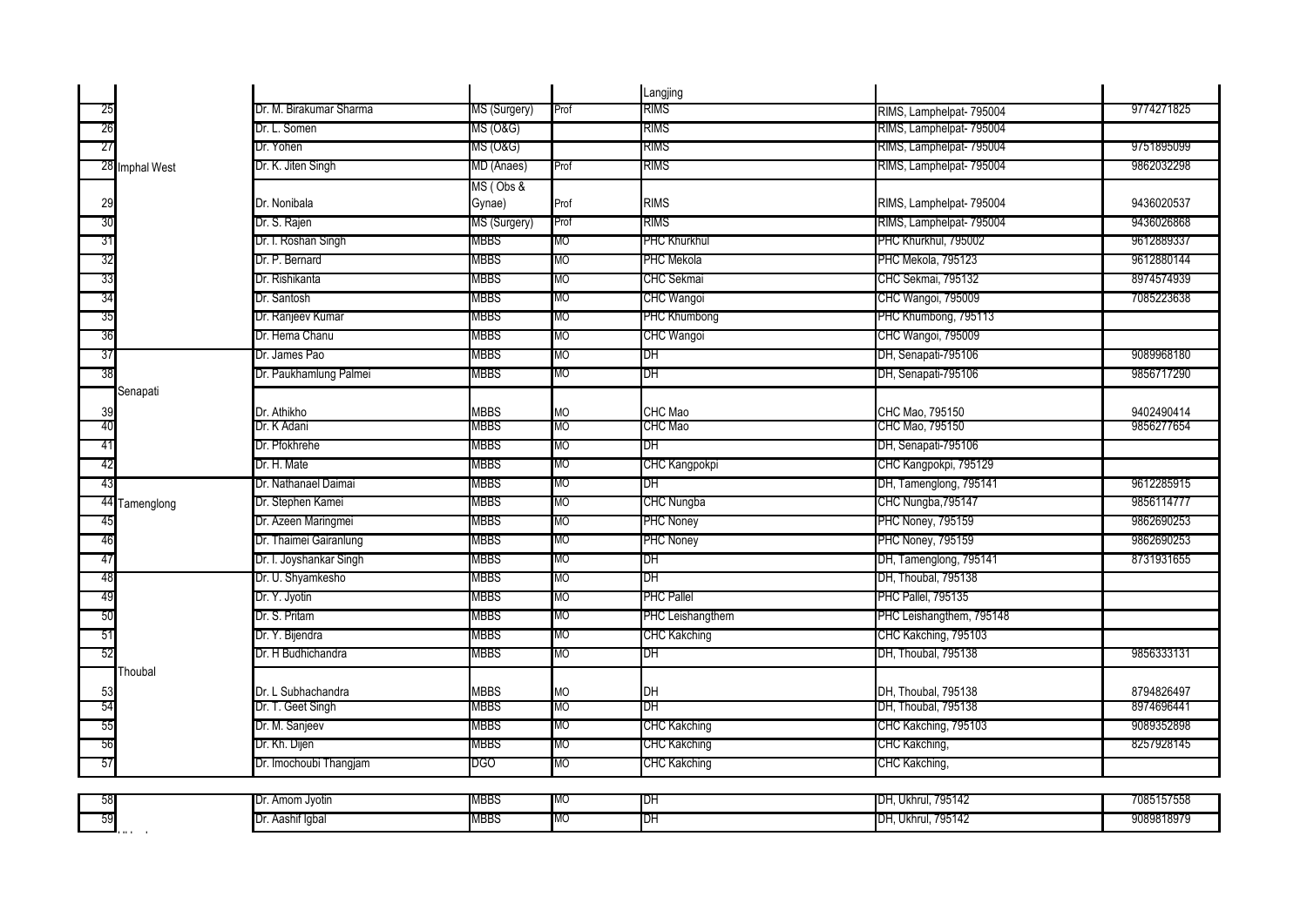|                |                         |              |           | Langjing             |                           |            |
|----------------|-------------------------|--------------|-----------|----------------------|---------------------------|------------|
| 25             | Dr. M. Birakumar Sharma | MS (Surgery) | Prof      | <b>RIMS</b>          | RIMS, Lamphelpat- 795004  | 9774271825 |
| 26             | Dr. L. Somen            | MS (O&G)     |           | <b>RIMS</b>          | RIMS, Lamphelpat- 795004  |            |
| 27             | Dr. Yohen               | MS (O&G)     |           | <b>RIMS</b>          | RIMS, Lamphelpat- 795004  | 9751895099 |
| 28 Imphal West | Dr. K. Jiten Singh      | MD (Anaes)   | Prof      | RIMS                 | RIMS, Lamphelpat- 795004  | 9862032298 |
|                |                         | MS (Obs &    |           |                      |                           |            |
| 29             | Dr. Nonibala            | Gynae)       | Prof      | <b>RIMS</b>          | RIMS, Lamphelpat- 795004  | 9436020537 |
| 30             | Dr. S. Rajen            | MS (Surgery) | Prof      | <b>RIMS</b>          | RIMS, Lamphelpat- 795004  | 9436026868 |
| 31             | Dr. I. Roshan Singh     | MBBS         | МO        | <b>PHC Khurkhul</b>  | PHC Khurkhul, 795002      | 9612889337 |
| 32             | Dr. P. Bernard          | MBBS         | МO        | PHC Mekola           | PHC Mekola, 795123        | 9612880144 |
| 33             | Dr. Rishikanta          | MBBS         | МO        | <b>CHC Sekmai</b>    | CHC Sekmai, 795132        | 8974574939 |
| 34             | Dr. Santosh             | MBBS         | MО        | <b>CHC Wangoi</b>    | CHC Wangoi, 795009        | 7085223638 |
| 35             | Dr. Ranjeev Kumar       | MBBS         | МO        | <b>PHC Khumbong</b>  | PHC Khumbong, 795113      |            |
| 36             | Dr. Hema Chanu          | MBBS         | МO        | CHC Wangoi           | CHC Wangoi, 795009        |            |
| 37             | Dr. James Pao           | <b>MBBS</b>  | MО        | DH                   | DH, Senapati-795106       | 9089968180 |
| 38             | Dr. Paukhamlung Palmei  | MBBS         | MО        | DH                   | DH, Senapati-795106       | 9856717290 |
| Senapati       |                         |              |           |                      |                           |            |
| 39             | Dr. Athikho             | <b>MBBS</b>  | <b>MO</b> | CHC Mao              | CHC Mao, 795150           | 9402490414 |
| 40             | Dr. K Adani             | MBBS         | MО        | <b>CHC Mao</b>       | CHC Mao, 795150           | 9856277654 |
| 41             | Dr. Pfokhrehe           | MBBS         | MО        | DH                   | DH, Senapati-795106       |            |
| 42             | Dr. H. Mate             | MBBS         | MO        | <b>CHC Kangpokpi</b> | CHC Kangpokpi, 795129     |            |
| 43             | Dr. Nathanael Daimai    | <b>MBBS</b>  | MО        | DH                   | DH, Tamenglong, 795141    | 9612285915 |
| 44 Tamenglong  | Dr. Stephen Kamei       | MBBS         | МO        | <b>CHC Nungba</b>    | CHC Nungba, 795147        | 9856114777 |
| 45             | Dr. Azeen Maringmei     | MBBS         | МO        | <b>PHC Noney</b>     | <b>PHC Noney, 795159</b>  | 9862690253 |
| 46             | Dr. Thaimei Gairanlung  | MBBS         | <b>MO</b> | <b>PHC Noney</b>     | <b>PHC Noney, 795159</b>  | 9862690253 |
| 47             | Dr. I. Joyshankar Singh | MBBS         | МO        | DH                   | DH, Tamenglong, 795141    | 8731931655 |
| 48             | Dr. U. Shyamkesho       | MBBS         | MО        | DH                   | DH, Thoubal, 795138       |            |
| 49             | Dr. Y. Jyotin           | MBBS         | МO        | <b>PHC Pallel</b>    | <b>PHC Pallel, 795135</b> |            |
| 50             | Dr. S. Pritam           | MBBS         | МO        | PHC Leishangthem     | PHC Leishangthem, 795148  |            |
| -51            | Dr. Y. Bijendra         | MBBS         | МO        | <b>CHC Kakching</b>  | CHC Kakching, 795103      |            |
| 52             | Dr. H Budhichandra      | MBBS         | МO        | DH                   | DH, Thoubal, 795138       | 9856333131 |
| Thoubal        |                         |              |           |                      |                           |            |
| 53             | Dr. L Subhachandra      | <b>MBBS</b>  | <b>MO</b> | DH                   | DH. Thoubal. 795138       | 8794826497 |
| 54             | Dr. T. Geet Singh       | MBBS         | МO        | DH                   | DH, Thoubal, 795138       | 8974696441 |
| 55             | Dr. M. Sanjeev          | MBBS         | MO        | <b>CHC Kakching</b>  | CHC Kakching, 795103      | 9089352898 |
| 56             | Dr. Kh. Dijen           | MBBS         | MO        | <b>CHC Kakching</b>  | CHC Kakching,             | 8257928145 |
| 57             | Dr. Imochoubi Thangjam  | DGO.         | МO        | <b>CHC Kakching</b>  | CHC Kakching,             |            |
|                |                         |              |           |                      |                           |            |
|                | Dr. Amom Jyotin         | MBBS         | МO        | IDН                  | DH, Ukhrul, 795142        | 7085157558 |
| 59             | Dr. Aashif Igbal        | MBBS         | МO        | DH                   | DH, Ukhrul, 795142        | 9089818979 |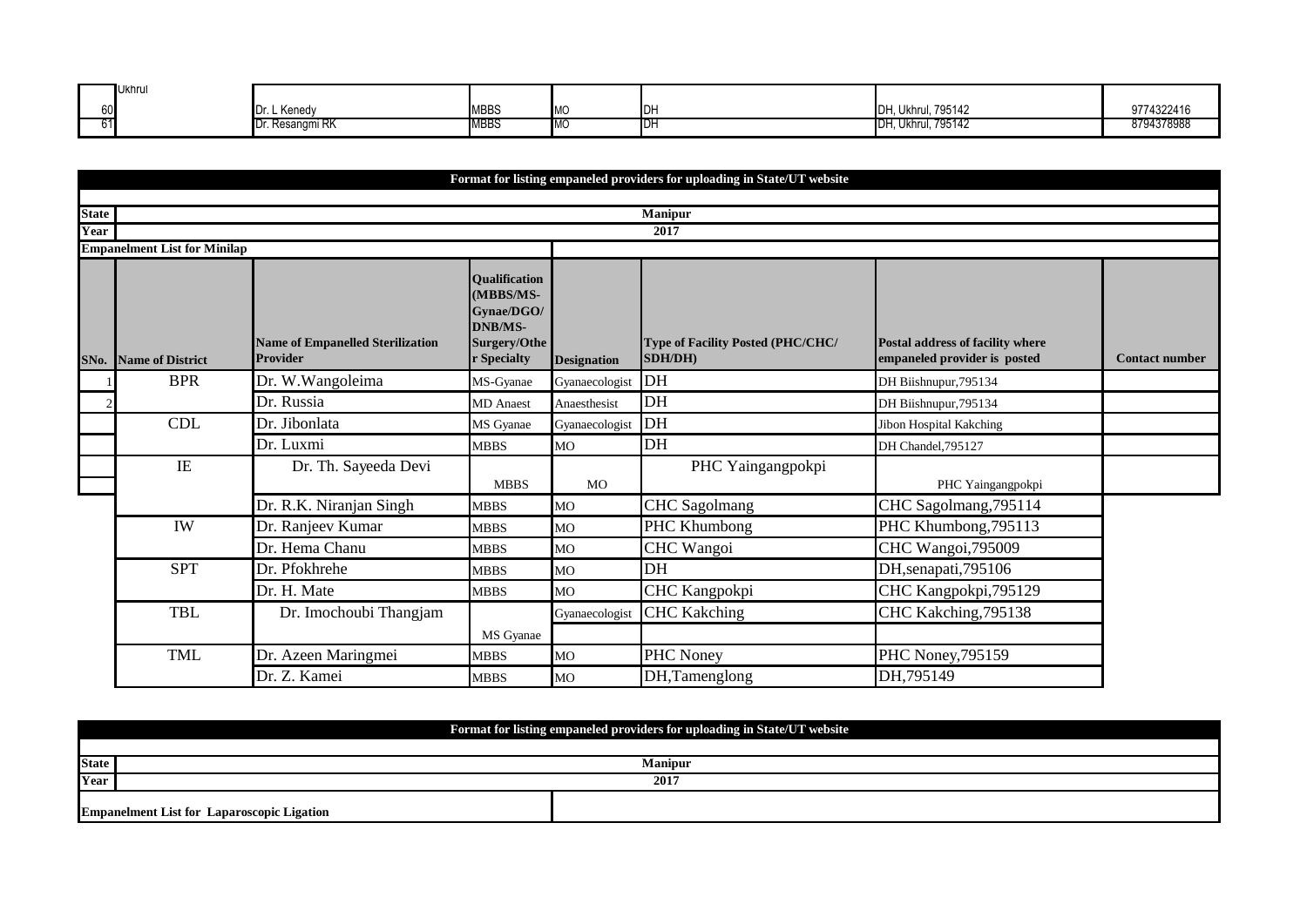| <b>Ukhrul</b> |                         |             |            |     |                               |            |
|---------------|-------------------------|-------------|------------|-----|-------------------------------|------------|
| 601           | Dr. L Kenedy            | <b>MBBS</b> | <b>IMC</b> |     | <b>Ukhrul, 795142</b><br>IDH. | 9774322416 |
| ا1د           | <b>IDr. Resangmi RK</b> | MBBS        | TMC.       | ושו | <b>IDH, Ukhrul, 795142</b>    | 8794378988 |

|                      |                                     |                                                            |                                                                                                  |                    | Format for listing empaneled providers for uploading in State/UT website |                                                                  |                       |
|----------------------|-------------------------------------|------------------------------------------------------------|--------------------------------------------------------------------------------------------------|--------------------|--------------------------------------------------------------------------|------------------------------------------------------------------|-----------------------|
|                      |                                     |                                                            |                                                                                                  |                    |                                                                          |                                                                  |                       |
| <b>State</b><br>Year |                                     |                                                            |                                                                                                  |                    | <b>Manipur</b><br>2017                                                   |                                                                  |                       |
|                      | <b>Empanelment List for Minilap</b> |                                                            |                                                                                                  |                    |                                                                          |                                                                  |                       |
| SNo.                 | <b>Name of District</b>             | <b>Name of Empanelled Sterilization</b><br><b>Provider</b> | <b>Oualification</b><br>(MBBS/MS-<br>Gynae/DGO/<br><b>DNB/MS-</b><br>Surgery/Othe<br>r Specialty | <b>Designation</b> | <b>Type of Facility Posted (PHC/CHC/</b><br>SDH/DH)                      | Postal address of facility where<br>empaneled provider is posted | <b>Contact number</b> |
|                      | <b>BPR</b>                          | Dr. W.Wangoleima                                           | MS-Gyanae                                                                                        | Gyanaecologist     | DH                                                                       | DH Biishnupur, 795134                                            |                       |
|                      |                                     | Dr. Russia                                                 | <b>MD</b> Anaest                                                                                 | Anaesthesist       | DH                                                                       | DH Biishnupur, 795134                                            |                       |
|                      | CDL                                 | Dr. Jibonlata                                              | MS Gyanae                                                                                        | Gyanaecologist     | DH                                                                       | Jibon Hospital Kakching                                          |                       |
|                      |                                     | Dr. Luxmi                                                  | <b>MBBS</b>                                                                                      | MO                 | DH                                                                       | DH Chandel, 795127                                               |                       |
|                      | IE                                  | Dr. Th. Sayeeda Devi                                       | <b>MBBS</b>                                                                                      | <b>MO</b>          | PHC Yaingangpokpi                                                        | PHC Yaingangpokpi                                                |                       |
|                      |                                     | Dr. R.K. Niranjan Singh                                    | <b>MBBS</b>                                                                                      | MO                 | <b>CHC</b> Sagolmang                                                     | CHC Sagolmang, 795114                                            |                       |
|                      | IW                                  | Dr. Ranjeev Kumar                                          | <b>MBBS</b>                                                                                      | MO                 | PHC Khumbong                                                             | PHC Khumbong, 795113                                             |                       |
|                      |                                     | Dr. Hema Chanu                                             | <b>MBBS</b>                                                                                      | МO                 | CHC Wangoi                                                               | CHC Wangoi, 795009                                               |                       |
|                      | <b>SPT</b>                          | Dr. Pfokhrehe                                              | <b>MBBS</b>                                                                                      | MO                 | DH                                                                       | DH,senapati,795106                                               |                       |
|                      |                                     | Dr. H. Mate                                                | <b>MBBS</b>                                                                                      | MO                 | CHC Kangpokpi                                                            | CHC Kangpokpi, 795129                                            |                       |
|                      | TBL                                 | Dr. Imochoubi Thangjam                                     | MS Gyanae                                                                                        | Gyanaecologist     | <b>CHC Kakching</b>                                                      | CHC Kakching, 795138                                             |                       |
|                      | <b>TML</b>                          | Dr. Azeen Maringmei                                        | <b>MBBS</b>                                                                                      | MO                 | PHC Noney                                                                | PHC Noney, 795159                                                |                       |
|                      |                                     | Dr. Z. Kamei                                               | <b>MBBS</b>                                                                                      | <b>MO</b>          | DH,Tamenglong                                                            | DH,795149                                                        |                       |

|              | Format for listing empaneled providers for uploading in State/UT website |  |  |  |  |  |  |
|--------------|--------------------------------------------------------------------------|--|--|--|--|--|--|
|              |                                                                          |  |  |  |  |  |  |
| <b>State</b> | <b>Manipur</b>                                                           |  |  |  |  |  |  |
| Year         | 2017                                                                     |  |  |  |  |  |  |
|              | <b>Empanelment List for Laparoscopic Ligation</b>                        |  |  |  |  |  |  |